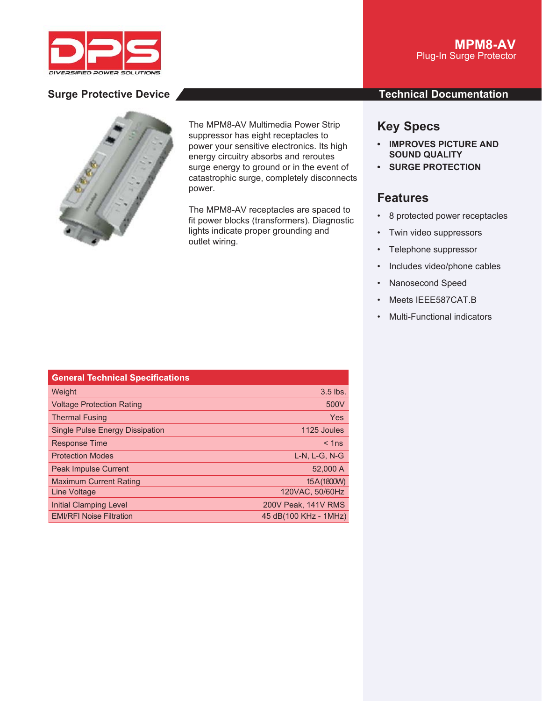

## **Surge Protective Device**



The MPM8-AV Multimedia Power Strip suppressor has eight receptacles to power your sensitive electronics. Its high energy circuitry absorbs and reroutes surge energy to ground or in the event of catastrophic surge, completely disconnects power.

The MPM8-AV receptacles are spaced to fit power blocks (transformers). Diagnostic lights indicate proper grounding and outlet wiring.

### **Technical Documentation**

## **Key Specs**

- **IMPROVES PICTURE AND SOUND QUALITY**
- **SURGE PROTECTION**

# **Features**

- 8 protected power receptacles
- Twin video suppressors
- Telephone suppressor
- Includes video/phone cables
- Nanosecond Speed
- Meets IEEE587CAT.B
- Multi-Functional indicators

| <b>General Technical Specifications</b> |                       |
|-----------------------------------------|-----------------------|
| Weight                                  | 3.5 lbs.              |
| <b>Voltage Protection Rating</b>        | 500V                  |
| <b>Thermal Fusing</b>                   | Yes                   |
| <b>Single Pulse Energy Dissipation</b>  | 1125 Joules           |
| <b>Response Time</b>                    | $<$ 1ns               |
| <b>Protection Modes</b>                 | $L-N. L-G. N-G$       |
| <b>Peak Impulse Current</b>             | 52,000 A              |
| <b>Maximum Current Rating</b>           | 15A (1800W)           |
| Line Voltage                            | 120VAC, 50/60Hz       |
| <b>Initial Clamping Level</b>           | 200V Peak, 141V RMS   |
| <b>EMI/RFI Noise Filtration</b>         | 45 dB(100 KHz - 1MHz) |